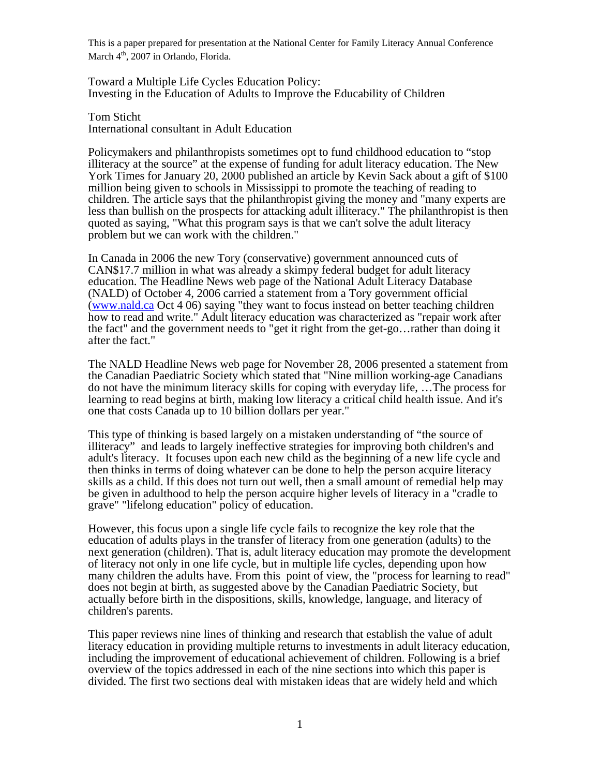Toward a Multiple Life Cycles Education Policy: Investing in the Education of Adults to Improve the Educability of Children

Tom Sticht International consultant in Adult Education

Policymakers and philanthropists sometimes opt to fund childhood education to "stop illiteracy at the source" at the expense of funding for adult literacy education. The New York Times for January 20, 2000 published an article by Kevin Sack about a gift of \$100 million being given to schools in Mississippi to promote the teaching of reading to children. The article says that the philanthropist giving the money and "many experts are less than bullish on the prospects for attacking adult illiteracy." The philanthropist is then quoted as saying, "What this program says is that we can't solve the adult literacy problem but we can work with the children."

In Canada in 2006 the new Tory (conservative) government announced cuts of CAN\$17.7 million in what was already a skimpy federal budget for adult literacy education. The Headline News web page of the National Adult Literacy Database (NALD) of October 4, 2006 carried a statement from a Tory government official ([www.nald.ca](http://www.nald.ca/) Oct 4 06) saying "they want to focus instead on better teaching children how to read and write." Adult literacy education was characterized as "repair work after the fact" and the government needs to "get it right from the get-go…rather than doing it after the fact."

The NALD Headline News web page for November 28, 2006 presented a statement from the Canadian Paediatric Society which stated that "Nine million working-age Canadians do not have the minimum literacy skills for coping with everyday life, …The process for learning to read begins at birth, making low literacy a critical child health issue. And it's one that costs Canada up to 10 billion dollars per year."

This type of thinking is based largely on a mistaken understanding of "the source of illiteracy" and leads to largely ineffective strategies for improving both children's and adult's literacy. It focuses upon each new child as the beginning of a new life cycle and then thinks in terms of doing whatever can be done to help the person acquire literacy skills as a child. If this does not turn out well, then a small amount of remedial help may be given in adulthood to help the person acquire higher levels of literacy in a "cradle to grave" "lifelong education" policy of education.

However, this focus upon a single life cycle fails to recognize the key role that the education of adults plays in the transfer of literacy from one generation (adults) to the next generation (children). That is, adult literacy education may promote the development of literacy not only in one life cycle, but in multiple life cycles, depending upon how many children the adults have. From this point of view, the "process for learning to read" does not begin at birth, as suggested above by the Canadian Paediatric Society, but actually before birth in the dispositions, skills, knowledge, language, and literacy of children's parents.

This paper reviews nine lines of thinking and research that establish the value of adult literacy education in providing multiple returns to investments in adult literacy education, including the improvement of educational achievement of children. Following is a brief overview of the topics addressed in each of the nine sections into which this paper is divided. The first two sections deal with mistaken ideas that are widely held and which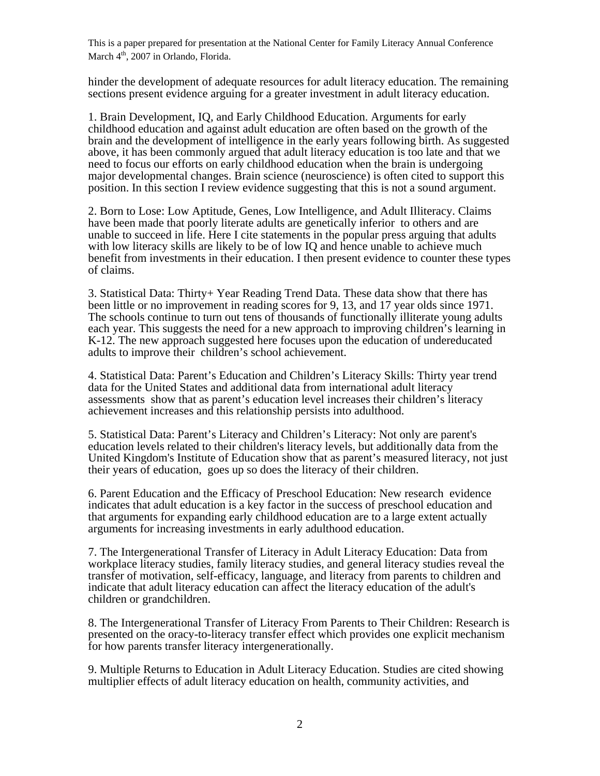hinder the development of adequate resources for adult literacy education. The remaining sections present evidence arguing for a greater investment in adult literacy education.

1. Brain Development, IQ, and Early Childhood Education. Arguments for early childhood education and against adult education are often based on the growth of the brain and the development of intelligence in the early years following birth. As suggested above, it has been commonly argued that adult literacy education is too late and that we need to focus our efforts on early childhood education when the brain is undergoing major developmental changes. Brain science (neuroscience) is often cited to support this position. In this section I review evidence suggesting that this is not a sound argument.

2. Born to Lose: Low Aptitude, Genes, Low Intelligence, and Adult Illiteracy. Claims have been made that poorly literate adults are genetically inferior to others and are unable to succeed in life. Here I cite statements in the popular press arguing that adults with low literacy skills are likely to be of low IQ and hence unable to achieve much benefit from investments in their education. I then present evidence to counter these types of claims.

3. Statistical Data: Thirty+ Year Reading Trend Data. These data show that there has been little or no improvement in reading scores for 9, 13, and 17 year olds since 1971. The schools continue to turn out tens of thousands of functionally illiterate young adults each year. This suggests the need for a new approach to improving children's learning in K-12. The new approach suggested here focuses upon the education of undereducated adults to improve their children's school achievement.

4. Statistical Data: Parent's Education and Children's Literacy Skills: Thirty year trend data for the United States and additional data from international adult literacy assessments show that as parent's education level increases their children's literacy achievement increases and this relationship persists into adulthood.

5. Statistical Data: Parent's Literacy and Children's Literacy: Not only are parent's education levels related to their children's literacy levels, but additionally data from the United Kingdom's Institute of Education show that as parent's measured literacy, not just their years of education, goes up so does the literacy of their children.

6. Parent Education and the Efficacy of Preschool Education: New research evidence indicates that adult education is a key factor in the success of preschool education and that arguments for expanding early childhood education are to a large extent actually arguments for increasing investments in early adulthood education.

7. The Intergenerational Transfer of Literacy in Adult Literacy Education: Data from workplace literacy studies, family literacy studies, and general literacy studies reveal the transfer of motivation, self-efficacy, language, and literacy from parents to children and indicate that adult literacy education can affect the literacy education of the adult's children or grandchildren.

8. The Intergenerational Transfer of Literacy From Parents to Their Children: Research is presented on the oracy-to-literacy transfer effect which provides one explicit mechanism for how parents transfer literacy intergenerationally.

9. Multiple Returns to Education in Adult Literacy Education. Studies are cited showing multiplier effects of adult literacy education on health, community activities, and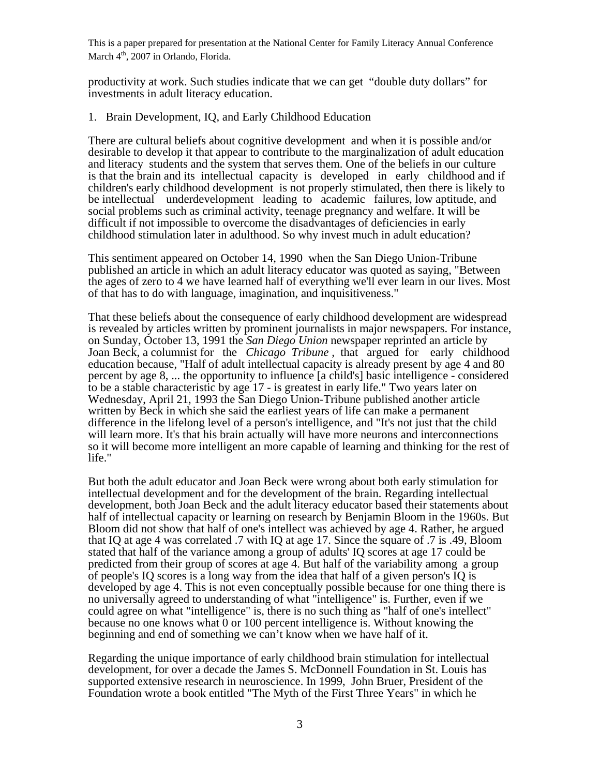productivity at work. Such studies indicate that we can get "double duty dollars" for investments in adult literacy education.

1. Brain Development, IQ, and Early Childhood Education

There are cultural beliefs about cognitive development and when it is possible and/or desirable to develop it that appear to contribute to the marginalization of adult education and literacy students and the system that serves them. One of the beliefs in our culture is that the brain and its intellectual capacity is developed in early childhood and if children's early childhood development is not properly stimulated, then there is likely to be intellectual underdevelopment leading to academic failures, low aptitude, and social problems such as criminal activity, teenage pregnancy and welfare. It will be difficult if not impossible to overcome the disadvantages of deficiencies in early childhood stimulation later in adulthood. So why invest much in adult education?

This sentiment appeared on October 14, 1990 when the San Diego Union-Tribune published an article in which an adult literacy educator was quoted as saying, "Between the ages of zero to 4 we have learned half of everything we'll ever learn in our lives. Most of that has to do with language, imagination, and inquisitiveness."

That these beliefs about the consequence of early childhood development are widespread is revealed by articles written by prominent journalists in major newspapers. For instance, on Sunday, October 13, 1991 the *San Diego Union* newspaper reprinted an article by Joan Beck, a columnist for the *Chicago Tribune ,* that argued for early childhood education because, "Half of adult intellectual capacity is already present by age 4 and 80 percent by age 8, ... the opportunity to influence [a child's] basic intelligence - considered to be a stable characteristic by age 17 - is greatest in early life." Two years later on Wednesday, April 21, 1993 the San Diego Union-Tribune published another article written by Beck in which she said the earliest years of life can make a permanent difference in the lifelong level of a person's intelligence, and "It's not just that the child will learn more. It's that his brain actually will have more neurons and interconnections so it will become more intelligent an more capable of learning and thinking for the rest of life."

But both the adult educator and Joan Beck were wrong about both early stimulation for intellectual development and for the development of the brain. Regarding intellectual development, both Joan Beck and the adult literacy educator based their statements about half of intellectual capacity or learning on research by Benjamin Bloom in the 1960s. But Bloom did not show that half of one's intellect was achieved by age 4. Rather, he argued that IQ at age 4 was correlated .7 with IQ at age 17. Since the square of .7 is .49, Bloom stated that half of the variance among a group of adults' IQ scores at age 17 could be predicted from their group of scores at age 4. But half of the variability among a group of people's IQ scores is a long way from the idea that half of a given person's IQ is developed by age 4. This is not even conceptually possible because for one thing there is no universally agreed to understanding of what "intelligence" is. Further, even if we could agree on what "intelligence" is, there is no such thing as "half of one's intellect" because no one knows what 0 or 100 percent intelligence is. Without knowing the beginning and end of something we can't know when we have half of it.

Regarding the unique importance of early childhood brain stimulation for intellectual development, for over a decade the James S. McDonnell Foundation in St. Louis has supported extensive research in neuroscience. In 1999, John Bruer, President of the Foundation wrote a book entitled "The Myth of the First Three Years" in which he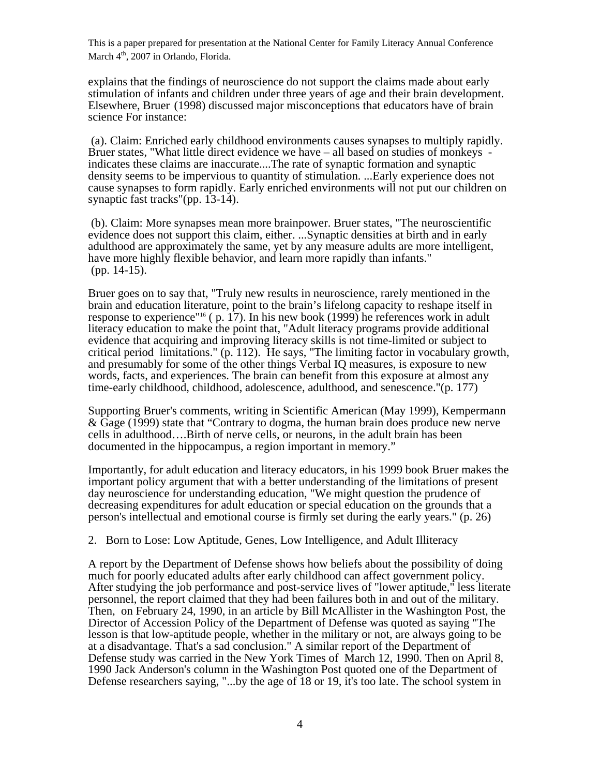explains that the findings of neuroscience do not support the claims made about early stimulation of infants and children under three years of age and their brain development. Elsewhere, Bruer (1998) discussed major misconceptions that educators have of brain science For instance:

 (a). Claim: Enriched early childhood environments causes synapses to multiply rapidly. Bruer states, "What little direct evidence we have – all based on studies of monkeys indicates these claims are inaccurate....The rate of synaptic formation and synaptic density seems to be impervious to quantity of stimulation. ...Early experience does not cause synapses to form rapidly. Early enriched environments will not put our children on synaptic fast tracks"(pp. 13-14).

 (b). Claim: More synapses mean more brainpower. Bruer states, "The neuroscientific evidence does not support this claim, either. ...Synaptic densities at birth and in early adulthood are approximately the same, yet by any measure adults are more intelligent, have more highly flexible behavior, and learn more rapidly than infants." (pp. 14-15).

Bruer goes on to say that, "Truly new results in neuroscience, rarely mentioned in the brain and education literature, point to the brain's lifelong capacity to reshape itself in response to experience"16 ( p. 17). In his new book (1999) he references work in adult literacy education to make the point that, "Adult literacy programs provide additional evidence that acquiring and improving literacy skills is not time-limited or subject to critical period limitations." (p. 112). He says, "The limiting factor in vocabulary growth, and presumably for some of the other things Verbal IQ measures, is exposure to new words, facts, and experiences. The brain can benefit from this exposure at almost any time-early childhood, childhood, adolescence, adulthood, and senescence."(p. 177)

Supporting Bruer's comments, writing in Scientific American (May 1999), Kempermann & Gage (1999) state that "Contrary to dogma, the human brain does produce new nerve cells in adulthood….Birth of nerve cells, or neurons, in the adult brain has been documented in the hippocampus, a region important in memory."

Importantly, for adult education and literacy educators, in his 1999 book Bruer makes the important policy argument that with a better understanding of the limitations of present day neuroscience for understanding education, "We might question the prudence of decreasing expenditures for adult education or special education on the grounds that a person's intellectual and emotional course is firmly set during the early years." (p. 26)

2. Born to Lose: Low Aptitude, Genes, Low Intelligence, and Adult Illiteracy

A report by the Department of Defense shows how beliefs about the possibility of doing much for poorly educated adults after early childhood can affect government policy. After studying the job performance and post-service lives of "lower aptitude," less literate personnel, the report claimed that they had been failures both in and out of the military. Then, on February 24, 1990, in an article by Bill McAllister in the Washington Post, the Director of Accession Policy of the Department of Defense was quoted as saying "The lesson is that low-aptitude people, whether in the military or not, are always going to be at a disadvantage. That's a sad conclusion." A similar report of the Department of Defense study was carried in the New York Times of March 12, 1990. Then on April 8, 1990 Jack Anderson's column in the Washington Post quoted one of the Department of Defense researchers saying, "...by the age of 18 or 19, it's too late. The school system in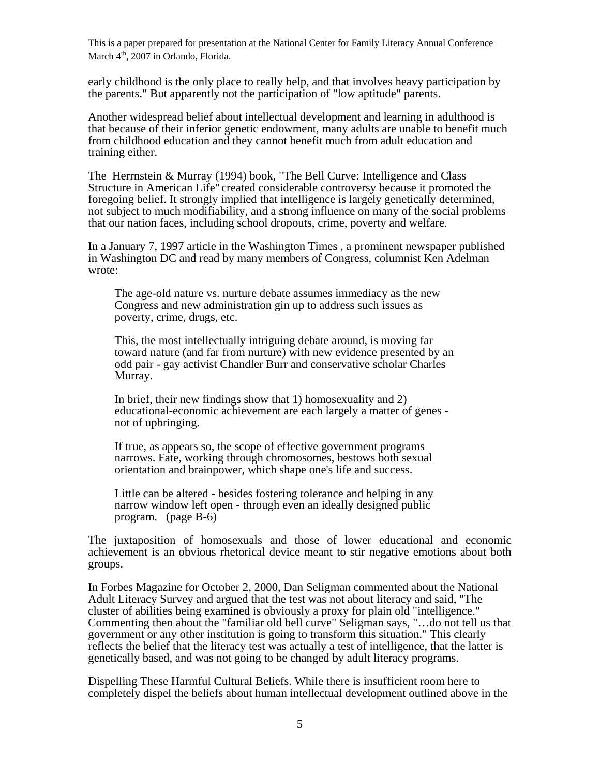early childhood is the only place to really help, and that involves heavy participation by the parents." But apparently not the participation of "low aptitude" parents.

Another widespread belief about intellectual development and learning in adulthood is that because of their inferior genetic endowment, many adults are unable to benefit much from childhood education and they cannot benefit much from adult education and training either.

The Herrnstein & Murray (1994) book, "The Bell Curve: Intelligence and Class Structure in American Life" created considerable controversy because it promoted the foregoing belief. It strongly implied that intelligence is largely genetically determined, not subject to much modifiability, and a strong influence on many of the social problems that our nation faces, including school dropouts, crime, poverty and welfare.

In a January 7, 1997 article in the Washington Times , a prominent newspaper published in Washington DC and read by many members of Congress, columnist Ken Adelman wrote:

The age-old nature vs. nurture debate assumes immediacy as the new Congress and new administration gin up to address such issues as poverty, crime, drugs, etc.

This, the most intellectually intriguing debate around, is moving far toward nature (and far from nurture) with new evidence presented by an odd pair - gay activist Chandler Burr and conservative scholar Charles Murray.

In brief, their new findings show that 1) homosexuality and 2) educational-economic achievement are each largely a matter of genes not of upbringing.

If true, as appears so, the scope of effective government programs narrows. Fate, working through chromosomes, bestows both sexual orientation and brainpower, which shape one's life and success.

Little can be altered - besides fostering tolerance and helping in any narrow window left open - through even an ideally designed public program. (page B-6)

The juxtaposition of homosexuals and those of lower educational and economic achievement is an obvious rhetorical device meant to stir negative emotions about both groups.

In Forbes Magazine for October 2, 2000, Dan Seligman commented about the National Adult Literacy Survey and argued that the test was not about literacy and said, "The cluster of abilities being examined is obviously a proxy for plain old "intelligence." Commenting then about the "familiar old bell curve" Seligman says, "…do not tell us that government or any other institution is going to transform this situation." This clearly reflects the belief that the literacy test was actually a test of intelligence, that the latter is genetically based, and was not going to be changed by adult literacy programs.

Dispelling These Harmful Cultural Beliefs. While there is insufficient room here to completely dispel the beliefs about human intellectual development outlined above in the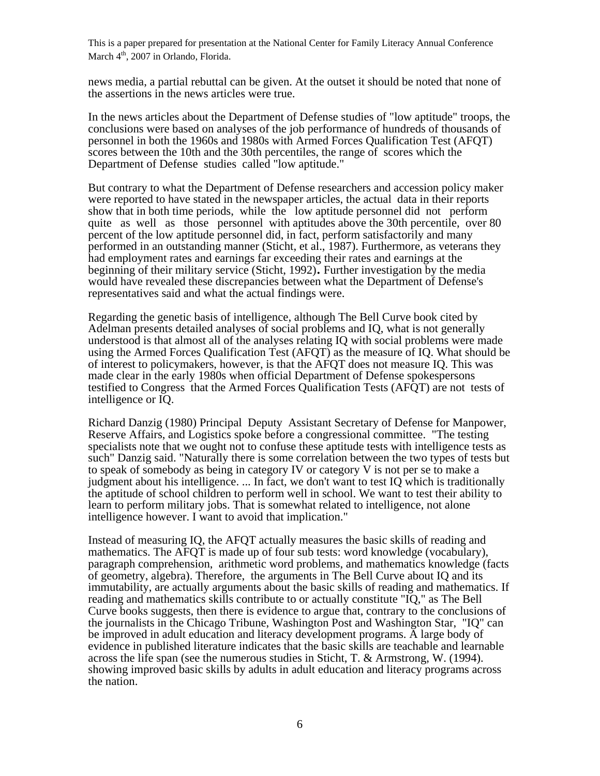news media, a partial rebuttal can be given. At the outset it should be noted that none of the assertions in the news articles were true.

In the news articles about the Department of Defense studies of "low aptitude" troops, the conclusions were based on analyses of the job performance of hundreds of thousands of personnel in both the 1960s and 1980s with Armed Forces Qualification Test (AFQT) scores between the 10th and the 30th percentiles, the range of scores which the Department of Defense studies called "low aptitude."

But contrary to what the Department of Defense researchers and accession policy maker were reported to have stated in the newspaper articles, the actual data in their reports show that in both time periods, while the low aptitude personnel did not perform quite as well as those personnel with aptitudes above the 30th percentile, over 80 percent of the low aptitude personnel did, in fact, perform satisfactorily and many performed in an outstanding manner (Sticht, et al., 1987). Furthermore, as veterans they had employment rates and earnings far exceeding their rates and earnings at the beginning of their military service (Sticht, 1992). Further investigation by the media would have revealed these discrepancies between what the Department of Defense's representatives said and what the actual findings were.

Regarding the genetic basis of intelligence, although The Bell Curve book cited by Adelman presents detailed analyses of social problems and IQ, what is not generally understood is that almost all of the analyses relating IQ with social problems were made using the Armed Forces Qualification Test (AFQT) as the measure of IQ. What should be of interest to policymakers, however, is that the AFQT does not measure IQ. This was made clear in the early 1980s when official Department of Defense spokespersons testified to Congress that the Armed Forces Qualification Tests (AFQT) are nottests of intelligence or IQ.

Richard Danzig (1980) Principal Deputy Assistant Secretary of Defense for Manpower, Reserve Affairs, and Logistics spoke before a congressional committee. "The testing specialists note that we ought not to confuse these aptitude tests with intelligence tests as such" Danzig said. "Naturally there is some correlation between the two types of tests but to speak of somebody as being in category IV or category V is not per se to make a judgment about his intelligence. ... In fact, we don't want to test IQ which is traditionally the aptitude of school children to perform well in school. We want to test their ability to learn to perform military jobs. That is somewhat related to intelligence, not alone intelligence however. I want to avoid that implication."

Instead of measuring IQ, the AFQT actually measures the basic skills of reading and mathematics. The AFQT is made up of four sub tests: word knowledge (vocabulary), paragraph comprehension, arithmetic word problems, and mathematics knowledge (facts of geometry, algebra). Therefore, the arguments in The Bell Curve about IQ and its immutability, are actually arguments about the basic skills of reading and mathematics. If reading and mathematics skills contribute to or actually constitute "IQ," as The Bell Curve books suggests, then there is evidence to argue that, contrary to the conclusions of the journalists in the Chicago Tribune, Washington Post and Washington Star, "IQ" can be improved in adult education and literacy development programs. A large body of evidence in published literature indicates that the basic skills are teachable and learnable across the life span (see the numerous studies in Sticht, T. & Armstrong, W. (1994). showing improved basic skills by adults in adult education and literacy programs across the nation.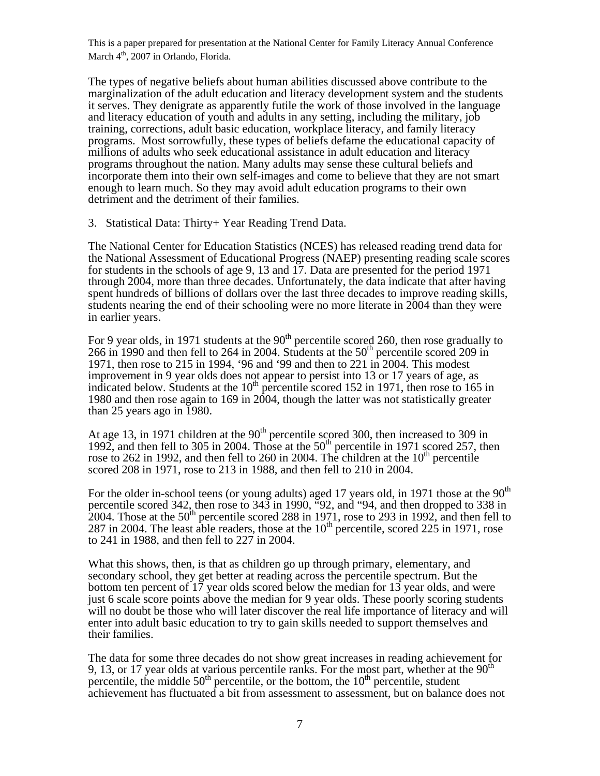The types of negative beliefs about human abilities discussed above contribute to the marginalization of the adult education and literacy development system and the students it serves. They denigrate as apparently futile the work of those involved in the language and literacy education of youth and adults in any setting, including the military, job training, corrections, adult basic education, workplace literacy, and family literacy programs. Most sorrowfully, these types of beliefs defame the educational capacity of millions of adults who seek educational assistance in adult education and literacy programs throughout the nation. Many adults may sense these cultural beliefs and incorporate them into their own self-images and come to believe that they are not smart enough to learn much. So they may avoid adult education programs to their own detriment and the detriment of their families.

3. Statistical Data: Thirty+ Year Reading Trend Data.

The National Center for Education Statistics (NCES) has released reading trend data for the National Assessment of Educational Progress (NAEP) presenting reading scale scores for students in the schools of age 9, 13 and 17. Data are presented for the period 1971 through 2004, more than three decades. Unfortunately, the data indicate that after having spent hundreds of billions of dollars over the last three decades to improve reading skills, students nearing the end of their schooling were no more literate in 2004 than they were in earlier years.

For 9 year olds, in 1971 students at the  $90<sup>th</sup>$  percentile scored 260, then rose gradually to 266 in 1990 and then fell to 264 in 2004. Students at the  $50<sup>th</sup>$  percentile scored 209 in 1971, then rose to 215 in 1994, '96 and '99 and then to 221 in 2004. This modest improvement in 9 year olds does not appear to persist into 13 or 17 years of age, as indicated below. Students at the  $10^{th}$  percentile scored 152 in 1971, then rose to 165 in 1980 and then rose again to 169 in 2004, though the latter was not statistically greater than 25 years ago in 1980.

At age 13, in 1971 children at the  $90<sup>th</sup>$  percentile scored 300, then increased to 309 in 1992, and then fell to 305 in 2004. Those at the  $50<sup>th</sup>$  percentile in 1971 scored 257, then rose to 262 in 1992, and then fell to 260 in 2004. The children at the  $10<sup>th</sup>$  percentile scored 208 in 1971, rose to 213 in 1988, and then fell to 210 in 2004.

For the older in-school teens (or young adults) aged 17 years old, in 1971 those at the  $90<sup>th</sup>$ percentile scored 342, then rose to 343 in 1990, "92, and "94, and then dropped to 338 in 2004. Those at the  $50^{th}$  percentile scored 288 in 1971, rose to 293 in 1992, and then fell to 287 in 2004. The least able readers, those at the  $10<sup>th</sup>$  percentile, scored 225 in 1971, rose to 241 in 1988, and then fell to 227 in 2004.

What this shows, then, is that as children go up through primary, elementary, and secondary school, they get better at reading across the percentile spectrum. But the bottom ten percent of 17 year olds scored below the median for 13 year olds, and were just 6 scale score points above the median for 9 year olds. These poorly scoring students will no doubt be those who will later discover the real life importance of literacy and will enter into adult basic education to try to gain skills needed to support themselves and their families.

The data for some three decades do not show great increases in reading achievement for 9, 13, or 17 year olds at various percentile ranks. For the most part, whether at the  $90<sup>th</sup>$ percentile, the middle  $50<sup>th</sup>$  percentile, or the bottom, the  $10<sup>th</sup>$  percentile, student achievement has fluctuated a bit from assessment to assessment, but on balance does not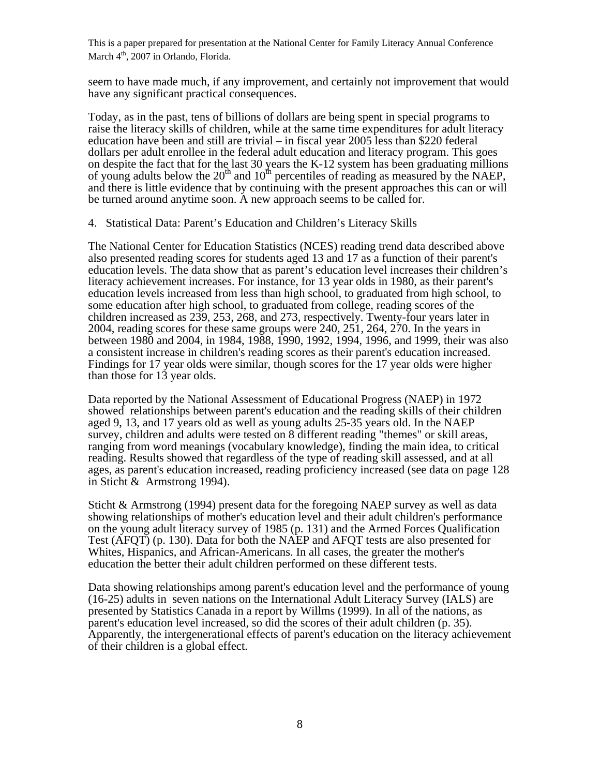seem to have made much, if any improvement, and certainly not improvement that would have any significant practical consequences.

Today, as in the past, tens of billions of dollars are being spent in special programs to raise the literacy skills of children, while at the same time expenditures for adult literacy education have been and still are trivial – in fiscal year 2005 less than \$220 federal dollars per adult enrollee in the federal adult education and literacy program. This goes on despite the fact that for the last 30 years the K-12 system has been graduating millions of young adults below the  $20<sup>th</sup>$  and  $10<sup>th</sup>$  percentiles of reading as measured by the NAEP, and there is little evidence that by continuing with the present approaches this can or will be turned around anytime soon. A new approach seems to be called for.

4. Statistical Data: Parent's Education and Children's Literacy Skills

The National Center for Education Statistics (NCES) reading trend data described above also presented reading scores for students aged 13 and 17 as a function of their parent's education levels. The data show that as parent's education level increases their children's literacy achievement increases. For instance, for 13 year olds in 1980, as their parent's education levels increased from less than high school, to graduated from high school, to some education after high school, to graduated from college, reading scores of the children increased as 239, 253, 268, and 273, respectively. Twenty-four years later in 2004, reading scores for these same groups were 240, 251, 264, 270. In the years in between 1980 and 2004, in 1984, 1988, 1990, 1992, 1994, 1996, and 1999, their was also a consistent increase in children's reading scores as their parent's education increased. Findings for 17 year olds were similar, though scores for the 17 year olds were higher than those for 13 year olds.

Data reported by the National Assessment of Educational Progress (NAEP) in 1972 showed relationships between parent's education and the reading skills of their children aged 9, 13, and 17 years old as well as young adults 25-35 years old. In the NAEP survey, children and adults were tested on 8 different reading "themes" or skill areas, ranging from word meanings (vocabulary knowledge), finding the main idea, to critical reading. Results showed that regardless of the type of reading skill assessed, and at all ages, as parent's education increased, reading proficiency increased (see data on page 128 in Sticht & Armstrong 1994).

Sticht & Armstrong (1994) present data for the foregoing NAEP survey as well as data showing relationships of mother's education level and their adult children's performance on the young adult literacy survey of 1985 (p. 131) and the Armed Forces Qualification Test (AFQT) (p. 130). Data for both the NAEP and AFQT tests are also presented for Whites, Hispanics, and African-Americans. In all cases, the greater the mother's education the better their adult children performed on these different tests.

Data showing relationships among parent's education level and the performance of young (16-25) adults in seven nations on the International Adult Literacy Survey (IALS) are presented by Statistics Canada in a report by Willms (1999). In all of the nations, as parent's education level increased, so did the scores of their adult children (p. 35). Apparently, the intergenerational effects of parent's education on the literacy achievement of their children is a global effect.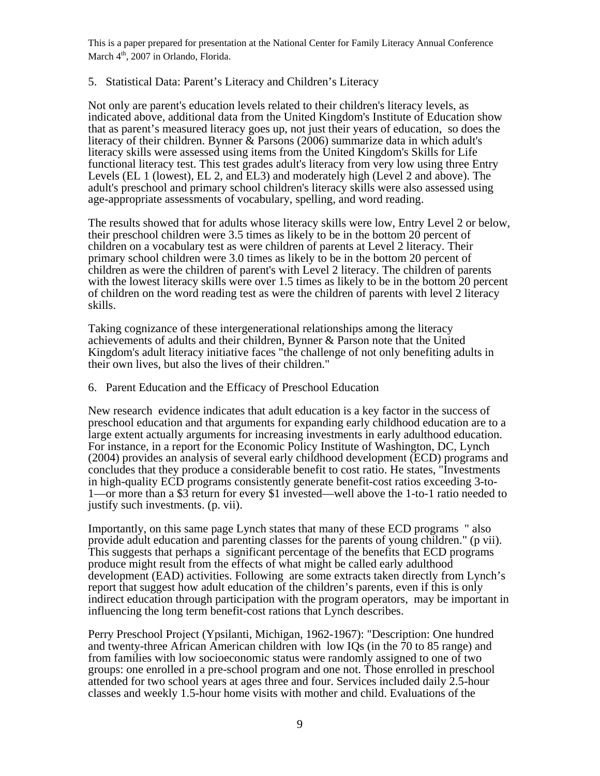# 5. Statistical Data: Parent's Literacy and Children's Literacy

Not only are parent's education levels related to their children's literacy levels, as indicated above, additional data from the United Kingdom's Institute of Education show that as parent's measured literacy goes up, not just their years of education, so does the literacy of their children. Bynner  $\&$  Parsons (2006) summarize data in which adult's literacy skills were assessed using items from the United Kingdom's Skills for Life functional literacy test. This test grades adult's literacy from very low using three Entry Levels (EL 1 (lowest), EL 2, and EL3) and moderately high (Level 2 and above). The adult's preschool and primary school children's literacy skills were also assessed using age-appropriate assessments of vocabulary, spelling, and word reading.

The results showed that for adults whose literacy skills were low, Entry Level 2 or below, their preschool children were 3.5 times as likely to be in the bottom 20 percent of children on a vocabulary test as were children of parents at Level 2 literacy. Their primary school children were 3.0 times as likely to be in the bottom 20 percent of children as were the children of parent's with Level 2 literacy. The children of parents with the lowest literacy skills were over 1.5 times as likely to be in the bottom 20 percent of children on the word reading test as were the children of parents with level 2 literacy skills.

Taking cognizance of these intergenerational relationships among the literacy achievements of adults and their children, Bynner & Parson note that the United Kingdom's adult literacy initiative faces "the challenge of not only benefiting adults in their own lives, but also the lives of their children."

#### 6. Parent Education and the Efficacy of Preschool Education

New research evidence indicates that adult education is a key factor in the success of preschool education and that arguments for expanding early childhood education are to a large extent actually arguments for increasing investments in early adulthood education. For instance, in a report for the Economic Policy Institute of Washington, DC, Lynch (2004) provides an analysis of several early childhood development (ECD) programs and concludes that they produce a considerable benefit to cost ratio. He states, "Investments in high-quality ECD programs consistently generate benefit-cost ratios exceeding 3-to-1—or more than a \$3 return for every \$1 invested—well above the 1-to-1 ratio needed to justify such investments. (p. vii).

Importantly, on this same page Lynch states that many of these ECD programs " also provide adult education and parenting classes for the parents of young children." (p vii). This suggests that perhaps a significant percentage of the benefits that ECD programs produce might result from the effects of what might be called early adulthood development (EAD) activities. Following are some extracts taken directly from Lynch's report that suggest how adult education of the children's parents, even if this is only indirect education through participation with the program operators, may be important in influencing the long term benefit-cost rations that Lynch describes.

Perry Preschool Project (Ypsilanti, Michigan, 1962-1967): "Description: One hundred and twenty-three African American children with low IQs (in the 70 to 85 range) and from families with low socioeconomic status were randomly assigned to one of two groups: one enrolled in a pre-school program and one not. Those enrolled in preschool attended for two school years at ages three and four. Services included daily 2.5-hour classes and weekly 1.5-hour home visits with mother and child. Evaluations of the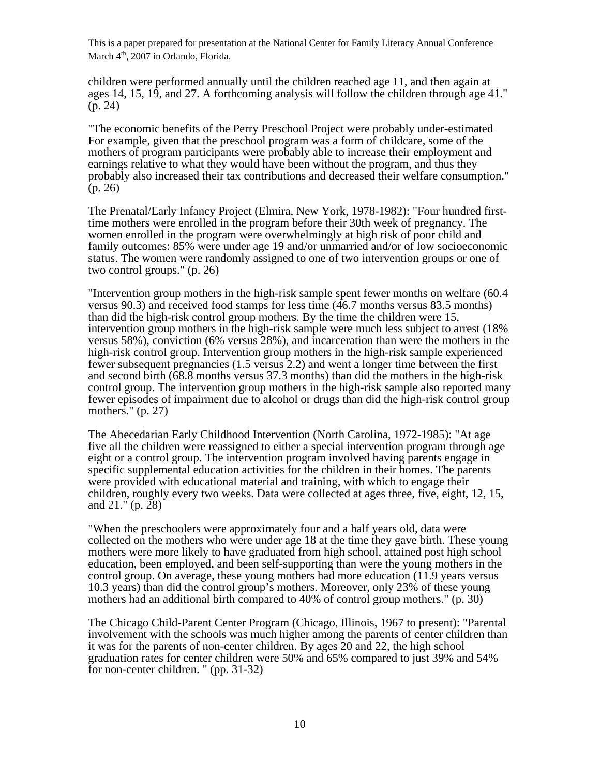children were performed annually until the children reached age 11, and then again at ages 14, 15, 19, and 27. A forthcoming analysis will follow the children through age 41." (p. 24)

"The economic benefits of the Perry Preschool Project were probably under-estimated For example, given that the preschool program was a form of childcare, some of the mothers of program participants were probably able to increase their employment and earnings relative to what they would have been without the program, and thus they probably also increased their tax contributions and decreased their welfare consumption." (p. 26)

The Prenatal/Early Infancy Project (Elmira, New York, 1978-1982): "Four hundred firsttime mothers were enrolled in the program before their 30th week of pregnancy. The women enrolled in the program were overwhelmingly at high risk of poor child and family outcomes: 85% were under age 19 and/or unmarried and/or of low socioeconomic status. The women were randomly assigned to one of two intervention groups or one of two control groups." (p. 26)

"Intervention group mothers in the high-risk sample spent fewer months on welfare (60.4 versus 90.3) and received food stamps for less time (46.7 months versus 83.5 months) than did the high-risk control group mothers. By the time the children were 15, intervention group mothers in the high-risk sample were much less subject to arrest (18% versus 58%), conviction (6% versus 28%), and incarceration than were the mothers in the high-risk control group. Intervention group mothers in the high-risk sample experienced fewer subsequent pregnancies (1.5 versus 2.2) and went a longer time between the first and second birth (68.8 months versus 37.3 months) than did the mothers in the high-risk control group. The intervention group mothers in the high-risk sample also reported many fewer episodes of impairment due to alcohol or drugs than did the high-risk control group mothers." (p. 27)

The Abecedarian Early Childhood Intervention (North Carolina, 1972-1985): "At age five all the children were reassigned to either a special intervention program through age eight or a control group. The intervention program involved having parents engage in specific supplemental education activities for the children in their homes. The parents were provided with educational material and training, with which to engage their children, roughly every two weeks. Data were collected at ages three, five, eight, 12, 15, and 21." (p. 28)

"When the preschoolers were approximately four and a half years old, data were collected on the mothers who were under age 18 at the time they gave birth. These young mothers were more likely to have graduated from high school, attained post high school education, been employed, and been self-supporting than were the young mothers in the control group. On average, these young mothers had more education (11.9 years versus 10.3 years) than did the control group's mothers. Moreover, only 23% of these young mothers had an additional birth compared to 40% of control group mothers." (p. 30)

The Chicago Child-Parent Center Program (Chicago, Illinois, 1967 to present): "Parental involvement with the schools was much higher among the parents of center children than it was for the parents of non-center children. By ages 20 and 22, the high school graduation rates for center children were 50% and 65% compared to just 39% and 54% for non-center children. " (pp. 31-32)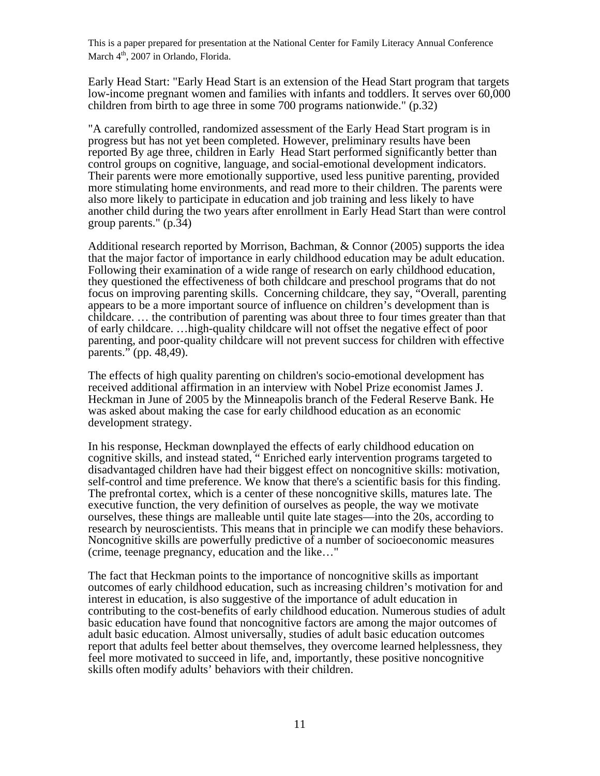Early Head Start: "Early Head Start is an extension of the Head Start program that targets low-income pregnant women and families with infants and toddlers. It serves over 60,000 children from birth to age three in some 700 programs nationwide." (p.32)

"A carefully controlled, randomized assessment of the Early Head Start program is in progress but has not yet been completed. However, preliminary results have been reported By age three, children in Early Head Start performed significantly better than control groups on cognitive, language, and social-emotional development indicators. Their parents were more emotionally supportive, used less punitive parenting, provided more stimulating home environments, and read more to their children. The parents were also more likely to participate in education and job training and less likely to have another child during the two years after enrollment in Early Head Start than were control group parents." (p.34)

Additional research reported by Morrison, Bachman, & Connor (2005) supports the idea that the major factor of importance in early childhood education may be adult education. Following their examination of a wide range of research on early childhood education, they questioned the effectiveness of both childcare and preschool programs that do not focus on improving parenting skills. Concerning childcare, they say, "Overall, parenting appears to be a more important source of influence on children's development than is childcare. … the contribution of parenting was about three to four times greater than that of early childcare. …high-quality childcare will not offset the negative effect of poor parenting, and poor-quality childcare will not prevent success for children with effective parents." (pp. 48,49).

The effects of high quality parenting on children's socio-emotional development has received additional affirmation in an interview with Nobel Prize economist James J. Heckman in June of 2005 by the Minneapolis branch of the Federal Reserve Bank. He was asked about making the case for early childhood education as an economic development strategy.

In his response, Heckman downplayed the effects of early childhood education on cognitive skills, and instead stated, " Enriched early intervention programs targeted to disadvantaged children have had their biggest effect on noncognitive skills: motivation, self-control and time preference. We know that there's a scientific basis for this finding. The prefrontal cortex, which is a center of these noncognitive skills, matures late. The executive function, the very definition of ourselves as people, the way we motivate ourselves, these things are malleable until quite late stages—into the 20s, according to research by neuroscientists. This means that in principle we can modify these behaviors. Noncognitive skills are powerfully predictive of a number of socioeconomic measures (crime, teenage pregnancy, education and the like…"

The fact that Heckman points to the importance of noncognitive skills as important outcomes of early childhood education, such as increasing children's motivation for and interest in education, is also suggestive of the importance of adult education in contributing to the cost-benefits of early childhood education. Numerous studies of adult basic education have found that noncognitive factors are among the major outcomes of adult basic education. Almost universally, studies of adult basic education outcomes report that adults feel better about themselves, they overcome learned helplessness, they feel more motivated to succeed in life, and, importantly, these positive noncognitive skills often modify adults' behaviors with their children.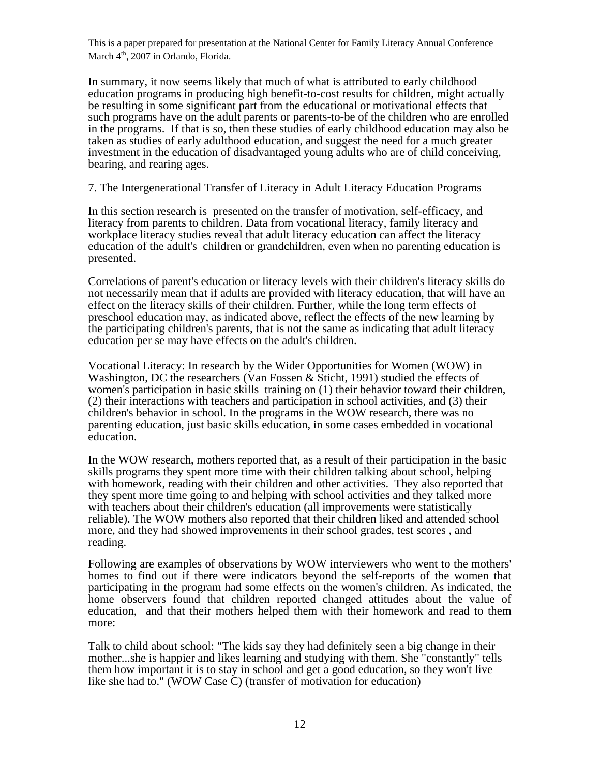In summary, it now seems likely that much of what is attributed to early childhood education programs in producing high benefit-to-cost results for children, might actually be resulting in some significant part from the educational or motivational effects that such programs have on the adult parents or parents-to-be of the children who are enrolled in the programs. If that is so, then these studies of early childhood education may also be taken as studies of early adulthood education, and suggest the need for a much greater investment in the education of disadvantaged young adults who are of child conceiving, bearing, and rearing ages.

7. The Intergenerational Transfer of Literacy in Adult Literacy Education Programs

In this section research is presented on the transfer of motivation, self-efficacy, and literacy from parents to children. Data from vocational literacy, family literacy and workplace literacy studies reveal that adult literacy education can affect the literacy education of the adult's children or grandchildren, even when no parenting education is presented.

Correlations of parent's education or literacy levels with their children's literacy skills do not necessarily mean that if adults are provided with literacy education, that will have an effect on the literacy skills of their children. Further, while the long term effects of preschool education may, as indicated above, reflect the effects of the new learning by the participating children's parents, that is not the same as indicating that adult literacy education per se may have effects on the adult's children.

Vocational Literacy: In research by the Wider Opportunities for Women (WOW) in Washington, DC the researchers (Van Fossen & Sticht, 1991) studied the effects of women's participation in basic skills training on (1) their behavior toward their children, (2) their interactions with teachers and participation in school activities, and (3) their children's behavior in school. In the programs in the WOW research, there was no parenting education, just basic skills education, in some cases embedded in vocational education.

In the WOW research, mothers reported that, as a result of their participation in the basic skills programs they spent more time with their children talking about school, helping with homework, reading with their children and other activities. They also reported that they spent more time going to and helping with school activities and they talked more with teachers about their children's education (all improvements were statistically reliable). The WOW mothers also reported that their children liked and attended school more, and they had showed improvements in their school grades, test scores , and reading.

Following are examples of observations by WOW interviewers who went to the mothers' homes to find out if there were indicators beyond the self-reports of the women that participating in the program had some effects on the women's children. As indicated, the home observers found that children reported changed attitudes about the value of education, and that their mothers helped them with their homework and read to them more:

Talk to child about school: "The kids say they had definitely seen a big change in their mother...she is happier and likes learning and studying with them. She "constantly" tells them how important it is to stay in school and get a good education, so they won't live like she had to." (WOW Case C) (transfer of motivation for education)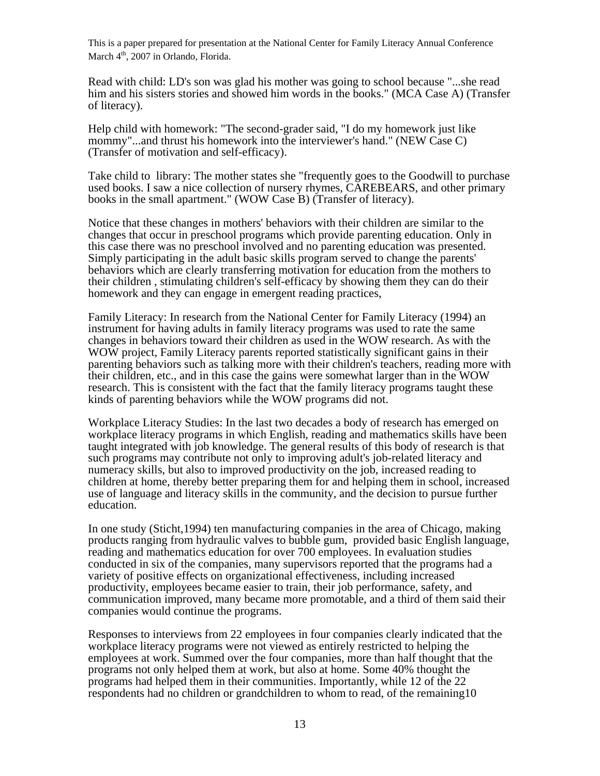Read with child: LD's son was glad his mother was going to school because "...she read him and his sisters stories and showed him words in the books." (MCA Case A) (Transfer of literacy).

Help child with homework: "The second-grader said, "I do my homework just like mommy"...and thrust his homework into the interviewer's hand." (NEW Case C) (Transfer of motivation and self-efficacy).

Take child to library: The mother states she "frequently goes to the Goodwill to purchase used books. I saw a nice collection of nursery rhymes, CAREBEARS, and other primary books in the small apartment." (WOW Case B) (Transfer of literacy).

Notice that these changes in mothers' behaviors with their children are similar to the changes that occur in preschool programs which provide parenting education. Only in this case there was no preschool involved and no parenting education was presented. Simply participating in the adult basic skills program served to change the parents' behaviors which are clearly transferring motivation for education from the mothers to their children , stimulating children's self-efficacy by showing them they can do their homework and they can engage in emergent reading practices,

Family Literacy: In research from the National Center for Family Literacy (1994) an instrument for having adults in family literacy programs was used to rate the same changes in behaviors toward their children as used in the WOW research. As with the WOW project, Family Literacy parents reported statistically significant gains in their parenting behaviors such as talking more with their children's teachers, reading more with their children, etc., and in this case the gains were somewhat larger than in the WOW research. This is consistent with the fact that the family literacy programs taught these kinds of parenting behaviors while the WOW programs did not.

Workplace Literacy Studies: In the last two decades a body of research has emerged on workplace literacy programs in which English, reading and mathematics skills have been taught integrated with job knowledge. The general results of this body of research is that such programs may contribute not only to improving adult's job-related literacy and numeracy skills, but also to improved productivity on the job, increased reading to children at home, thereby better preparing them for and helping them in school, increased use of language and literacy skills in the community, and the decision to pursue further education.

In one study (Sticht,1994) ten manufacturing companies in the area of Chicago, making products ranging from hydraulic valves to bubble gum, provided basic English language, reading and mathematics education for over 700 employees. In evaluation studies conducted in six of the companies, many supervisors reported that the programs had a variety of positive effects on organizational effectiveness, including increased productivity, employees became easier to train, their job performance, safety, and communication improved, many became more promotable, and a third of them said their companies would continue the programs.

Responses to interviews from 22 employees in four companies clearly indicated that the workplace literacy programs were not viewed as entirely restricted to helping the employees at work. Summed over the four companies, more than half thought that the programs not only helped them at work, but also at home. Some 40% thought the programs had helped them in their communities. Importantly, while 12 of the 22 respondents had no children or grandchildren to whom to read, of the remaining10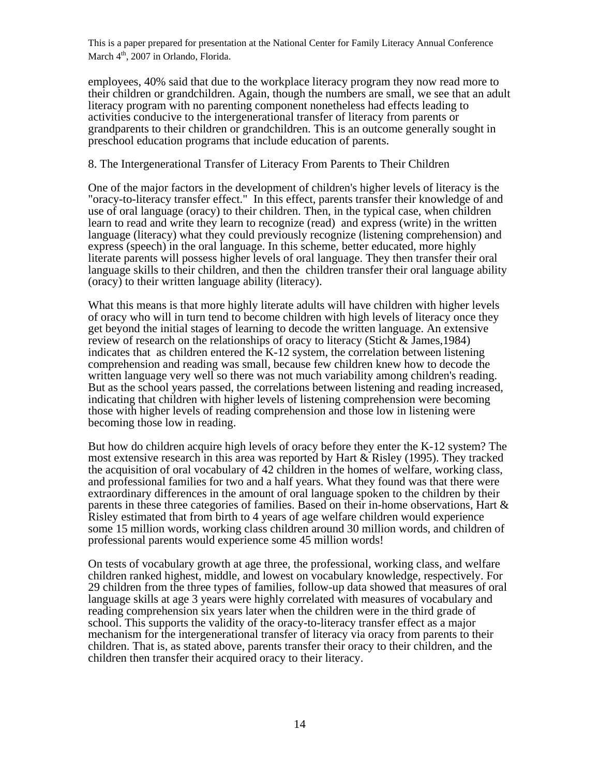employees, 40% said that due to the workplace literacy program they now read more to their children or grandchildren. Again, though the numbers are small, we see that an adult literacy program with no parenting component nonetheless had effects leading to activities conducive to the intergenerational transfer of literacy from parents or grandparents to their children or grandchildren. This is an outcome generally sought in preschool education programs that include education of parents.

#### 8. The Intergenerational Transfer of Literacy From Parents to Their Children

One of the major factors in the development of children's higher levels of literacy is the "oracy-to-literacy transfer effect." In this effect, parents transfer their knowledge of and use of oral language (oracy) to their children. Then, in the typical case, when children learn to read and write they learn to recognize (read) and express (write) in the written language (literacy) what they could previously recognize (listening comprehension) and express (speech) in the oral language. In this scheme, better educated, more highly literate parents will possess higher levels of oral language. They then transfer their oral language skills to their children, and then the children transfer their oral language ability (oracy) to their written language ability (literacy).

What this means is that more highly literate adults will have children with higher levels of oracy who will in turn tend to become children with high levels of literacy once they get beyond the initial stages of learning to decode the written language. An extensive review of research on the relationships of oracy to literacy (Sticht & James,1984) indicates that as children entered the K-12 system, the correlation between listening comprehension and reading was small, because few children knew how to decode the written language very well so there was not much variability among children's reading. But as the school years passed, the correlations between listening and reading increased, indicating that children with higher levels of listening comprehension were becoming those with higher levels of reading comprehension and those low in listening were becoming those low in reading.

But how do children acquire high levels of oracy before they enter the K-12 system? The most extensive research in this area was reported by Hart & Risley (1995). They tracked the acquisition of oral vocabulary of 42 children in the homes of welfare, working class, and professional families for two and a half years. What they found was that there were extraordinary differences in the amount of oral language spoken to the children by their parents in these three categories of families. Based on their in-home observations, Hart & Risley estimated that from birth to 4 years of age welfare children would experience some 15 million words, working class children around 30 million words, and children of professional parents would experience some 45 million words!

On tests of vocabulary growth at age three, the professional, working class, and welfare children ranked highest, middle, and lowest on vocabulary knowledge, respectively. For 29 children from the three types of families, follow-up data showed that measures of oral language skills at age 3 years were highly correlated with measures of vocabulary and reading comprehension six years later when the children were in the third grade of school. This supports the validity of the oracy-to-literacy transfer effect as a major mechanism for the intergenerational transfer of literacy via oracy from parents to their children. That is, as stated above, parents transfer their oracy to their children, and the children then transfer their acquired oracy to their literacy.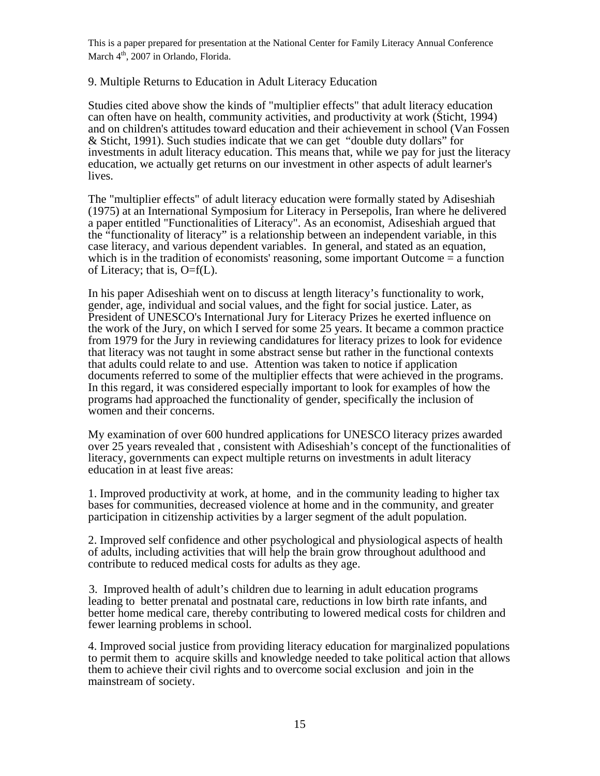# 9. Multiple Returns to Education in Adult Literacy Education

Studies cited above show the kinds of "multiplier effects" that adult literacy education can often have on health, community activities, and productivity at work (Sticht, 1994) and on children's attitudes toward education and their achievement in school (Van Fossen & Sticht, 1991). Such studies indicate that we can get "double duty dollars" for investments in adult literacy education. This means that, while we pay for just the literacy education, we actually get returns on our investment in other aspects of adult learner's lives.

The "multiplier effects" of adult literacy education were formally stated by Adiseshiah (1975) at an International Symposium for Literacy in Persepolis, Iran where he delivered a paper entitled "Functionalities of Literacy". As an economist, Adiseshiah argued that the "functionality of literacy" is a relationship between an independent variable, in this case literacy, and various dependent variables. In general, and stated as an equation, which is in the tradition of economists' reasoning, some important Outcome = a function of Literacy; that is,  $O=f(L)$ .

In his paper Adiseshiah went on to discuss at length literacy's functionality to work, gender, age, individual and social values, and the fight for social justice. Later, as President of UNESCO's International Jury for Literacy Prizes he exerted influence on the work of the Jury, on which I served for some 25 years. It became a common practice from 1979 for the Jury in reviewing candidatures for literacy prizes to look for evidence that literacy was not taught in some abstract sense but rather in the functional contexts that adults could relate to and use. Attention was taken to notice if application documents referred to some of the multiplier effects that were achieved in the programs. In this regard, it was considered especially important to look for examples of how the programs had approached the functionality of gender, specifically the inclusion of women and their concerns.

My examination of over 600 hundred applications for UNESCO literacy prizes awarded over 25 years revealed that , consistent with Adiseshiah's concept of the functionalities of literacy, governments can expect multiple returns on investments in adult literacy education in at least five areas:

1. Improved productivity at work, at home, and in the community leading to higher tax bases for communities, decreased violence at home and in the community, and greater participation in citizenship activities by a larger segment of the adult population.

2. Improved self confidence and other psychological and physiological aspects of health of adults, including activities that will help the brain grow throughout adulthood and contribute to reduced medical costs for adults as they age.

3. Improved health of adult's children due to learning in adult education programs leading to better prenatal and postnatal care, reductions in low birth rate infants, and better home medical care, thereby contributing to lowered medical costs for children and fewer learning problems in school.

4. Improved social justice from providing literacy education for marginalized populations to permit them to acquire skills and knowledge needed to take political action that allows them to achieve their civil rights and to overcome social exclusion and join in the mainstream of society.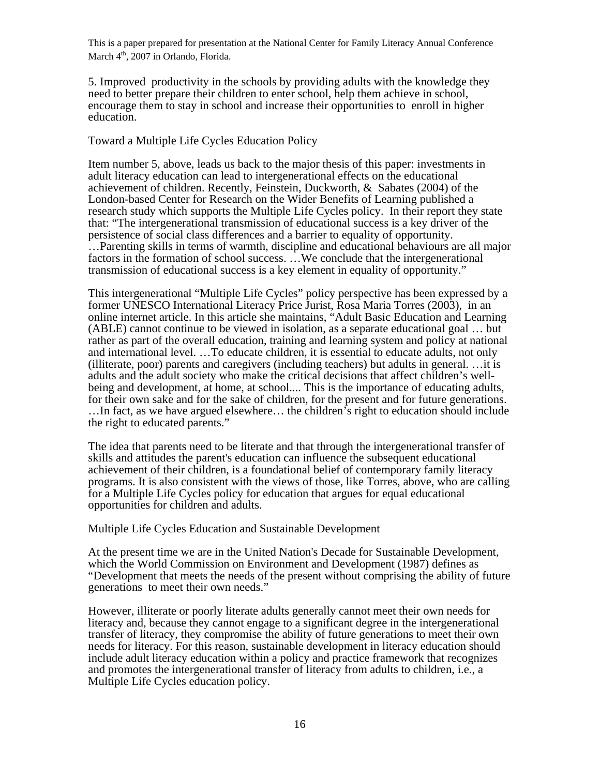5. Improved productivity in the schools by providing adults with the knowledge they need to better prepare their children to enter school, help them achieve in school, encourage them to stay in school and increase their opportunities to enroll in higher education.

#### Toward a Multiple Life Cycles Education Policy

Item number 5, above, leads us back to the major thesis of this paper: investments in adult literacy education can lead to intergenerational effects on the educational achievement of children. Recently, Feinstein, Duckworth, & Sabates (2004) of the London-based Center for Research on the Wider Benefits of Learning published a research study which supports the Multiple Life Cycles policy. In their report they state that: "The intergenerational transmission of educational success is a key driver of the persistence of social class differences and a barrier to equality of opportunity. …Parenting skills in terms of warmth, discipline and educational behaviours are all major factors in the formation of school success. ...We conclude that the intergenerational transmission of educational success is a key element in equality of opportunity."

This intergenerational "Multiple Life Cycles" policy perspective has been expressed by a former UNESCO International Literacy Price Jurist, Rosa Maria Torres (2003), in an online internet article. In this article she maintains, "Adult Basic Education and Learning (ABLE) cannot continue to be viewed in isolation, as a separate educational goal … but rather as part of the overall education, training and learning system and policy at national and international level. …To educate children, it is essential to educate adults, not only (illiterate, poor) parents and caregivers (including teachers) but adults in general. …it is adults and the adult society who make the critical decisions that affect children's wellbeing and development, at home, at school.... This is the importance of educating adults, for their own sake and for the sake of children, for the present and for future generations. …In fact, as we have argued elsewhere… the children's right to education should include the right to educated parents."

The idea that parents need to be literate and that through the intergenerational transfer of skills and attitudes the parent's education can influence the subsequent educational achievement of their children, is a foundational belief of contemporary family literacy programs. It is also consistent with the views of those, like Torres, above, who are calling for a Multiple Life Cycles policy for education that argues for equal educational opportunities for children and adults.

Multiple Life Cycles Education and Sustainable Development

At the present time we are in the United Nation's Decade for Sustainable Development, which the World Commission on Environment and Development (1987) defines as "Development that meets the needs of the present without comprising the ability of future generations to meet their own needs."

However, illiterate or poorly literate adults generally cannot meet their own needs for literacy and, because they cannot engage to a significant degree in the intergenerational transfer of literacy, they compromise the ability of future generations to meet their own needs for literacy. For this reason, sustainable development in literacy education should include adult literacy education within a policy and practice framework that recognizes and promotes the intergenerational transfer of literacy from adults to children, i.e., a Multiple Life Cycles education policy.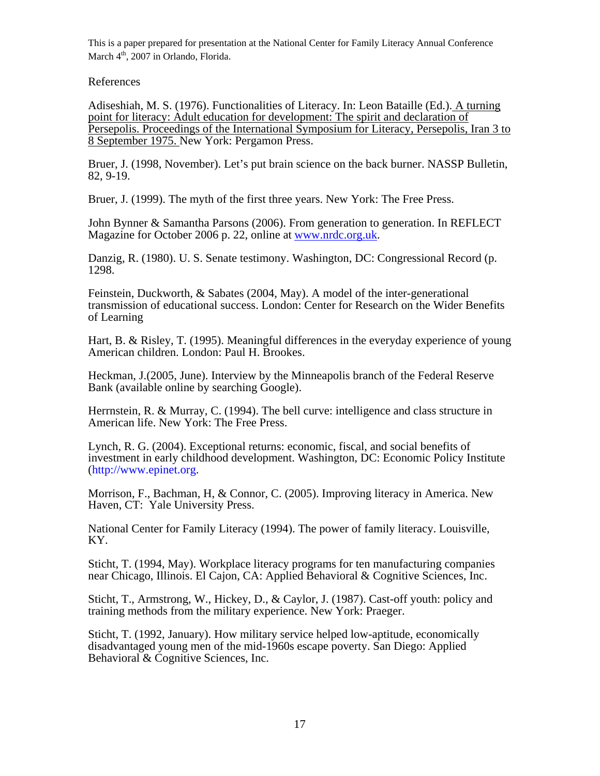# References

Adiseshiah, M. S. (1976). Functionalities of Literacy. In: Leon Bataille (Ed.). A turning point for literacy: Adult education for development: The spirit and declaration of Persepolis. Proceedings of the International Symposium for Literacy, Persepolis, Iran 3 to 8 September 1975. New York: Pergamon Press.

Bruer, J. (1998, November). Let's put brain science on the back burner. NASSP Bulletin, 82, 9-19.

Bruer, J. (1999). The myth of the first three years. New York: The Free Press.

John Bynner & Samantha Parsons (2006). From generation to generation. In REFLECT Magazine for October 2006 p. 22, online at [www.nrdc.org.uk.](http://www.nrdc.org.uk/)

Danzig, R. (1980). U. S. Senate testimony. Washington, DC: Congressional Record (p. 1298.

Feinstein, Duckworth, & Sabates (2004, May). A model of the inter-generational transmission of educational success. London: Center for Research on the Wider Benefits of Learning

Hart, B. & Risley, T. (1995). Meaningful differences in the everyday experience of young American children. London: Paul H. Brookes.

Heckman, J.(2005, June). Interview by the Minneapolis branch of the Federal Reserve Bank (available online by searching Google).

Herrnstein, R. & Murray, C. (1994). The bell curve: intelligence and class structure in American life. New York: The Free Press.

Lynch, R. G. (2004). Exceptional returns: economic, fiscal, and social benefits of investment in early childhood development. Washington, DC: Economic Policy Institute (http://www.epinet.org.

Morrison, F., Bachman, H, & Connor, C. (2005). Improving literacy in America. New Haven, CT: Yale University Press.

National Center for Family Literacy (1994). The power of family literacy. Louisville, KY.

Sticht, T. (1994, May). Workplace literacy programs for ten manufacturing companies near Chicago, Illinois. El Cajon, CA: Applied Behavioral & Cognitive Sciences, Inc.

Sticht, T., Armstrong, W., Hickey, D., & Caylor, J. (1987). Cast-off youth: policy and training methods from the military experience. New York: Praeger.

Sticht, T. (1992, January). How military service helped low-aptitude, economically disadvantaged young men of the mid-1960s escape poverty. San Diego: Applied Behavioral & Cognitive Sciences, Inc.